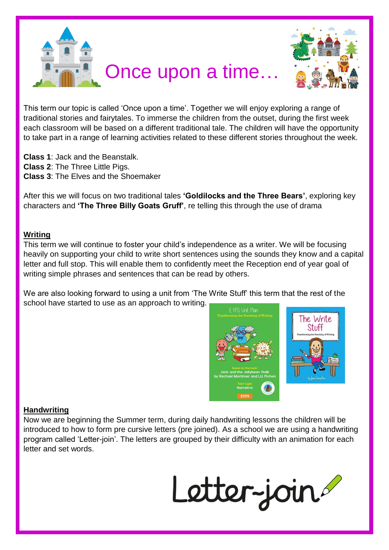



This term our topic is called 'Once upon a time'. Together we will enjoy exploring a range of traditional stories and fairytales. To immerse the children from the outset, during the first week each classroom will be based on a different traditional tale. The children will have the opportunity to take part in a range of learning activities related to these different stories throughout the week.

**Class 1**: Jack and the Beanstalk. **Class 2**: The Three Little Pigs. **Class 3**: The Elves and the Shoemaker

After this we will focus on two traditional tales **'Goldilocks and the Three Bears'**, exploring key characters and **'The Three Billy Goats Gruff'**, re telling this through the use of drama

### **Writing**

This term we will continue to foster your child's independence as a writer. We will be focusing heavily on supporting your child to write short sentences using the sounds they know and a capital letter and full stop. This will enable them to confidently meet the Reception end of year goal of writing simple phrases and sentences that can be read by others.

We are also looking forward to using a unit from 'The Write Stuff' this term that the rest of the school have started to use as an approach to writing.



#### **Handwriting**

Now we are beginning the Summer term, during daily handwriting lessons the children will be introduced to how to form pre cursive letters (pre joined). As a school we are using a handwriting program called 'Letter-join'. The letters are grouped by their difficulty with an animation for each letter and set words.

Letter-join